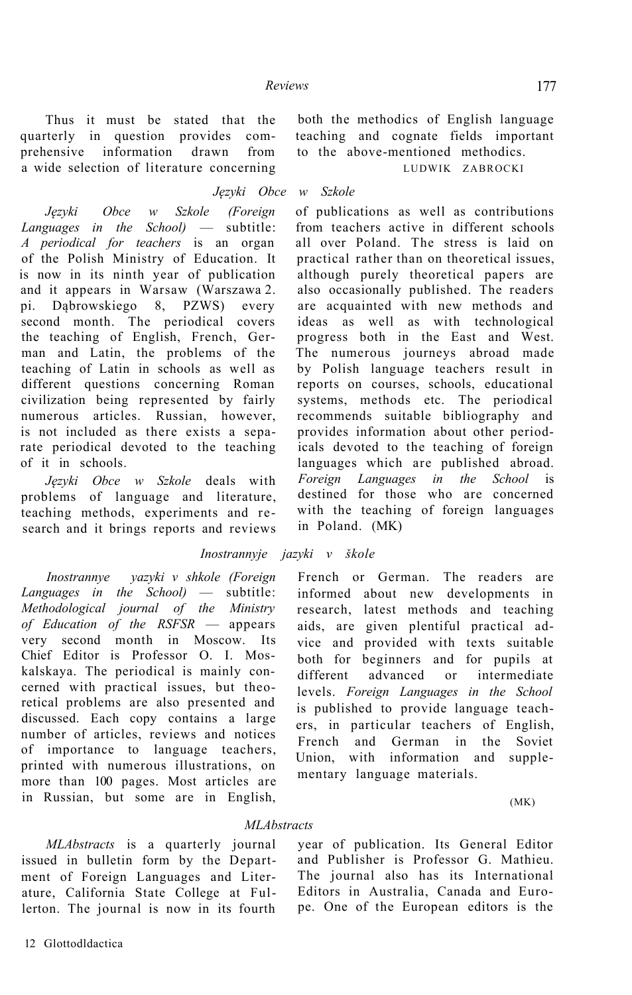Thus it must be stated that the quarterly in question provides comprehensive information drawn from a wide selection of literature concerning

both the methodics of English language teaching and cognate fields important to the above-mentioned methodics.

LUDWIK ZABROCKI

## *Języki Obce w Szkole*

*Języki Obce w Szkole (Foreign Languages in the School)* — subtitle: *A periodical for teachers* is an organ of the Polish Ministry of Education. It is now in its ninth year of publication and it appears in Warsaw (Warszawa 2. pi. Dąbrowskiego 8, PZWS) every second month. The periodical covers the teaching of English, French, German and Latin, the problems of the teaching of Latin in schools as well as different questions concerning Roman civilization being represented by fairly numerous articles. Russian, however, is not included as there exists a separate periodical devoted to the teaching of it in schools.

*Języki Obce w Szkole* deals with problems of language and literature, teaching methods, experiments and research and it brings reports and reviews

## *Inostrannyje jazyki v škole*

*Inostrannye yazyki v shkole (Foreign Languages in the School)* — subtitle: *Methodological journal of the Ministry of Education of the RSFSR* — appears very second month in Moscow. Its Chief Editor is Professor O. I. Moskalskaya. The periodical is mainly concerned with practical issues, but theoretical problems are also presented and discussed. Each copy contains a large number of articles, reviews and notices of importance to language teachers, printed with numerous illustrations, on more than 100 pages. Most articles are in Russian, but some are in English, of publications as well as contributions from teachers active in different schools all over Poland. The stress is laid on practical rather than on theoretical issues, although purely theoretical papers are also occasionally published. The readers are acquainted with new methods and ideas as well as with technological progress both in the East and West. The numerous journeys abroad made by Polish language teachers result in reports on courses, schools, educational systems, methods etc. The periodical recommends suitable bibliography and provides information about other periodicals devoted to the teaching of foreign languages which are published abroad. *Foreign Languages in the School* is destined for those who are concerned with the teaching of foreign languages in Poland. (MK)

# French or German. The readers are informed about new developments in research, latest methods and teaching aids, are given plentiful practical advice and provided with texts suitable both for beginners and for pupils at different advanced or intermediate levels. *Foreign Languages in the School*  is published to provide language teachers, in particular teachers of English, French and German in the Soviet Union, with information and supplementary language materials.

(MK)

#### *MLAbstracts*

*MLAbstracts* is a quarterly journal issued in bulletin form by the Department of Foreign Languages and Literature, California State College at Fullerton. The journal is now in its fourth year of publication. Its General Editor and Publisher is Professor G. Mathieu. The journal also has its International Editors in Australia, Canada and Europe. One of the European editors is the